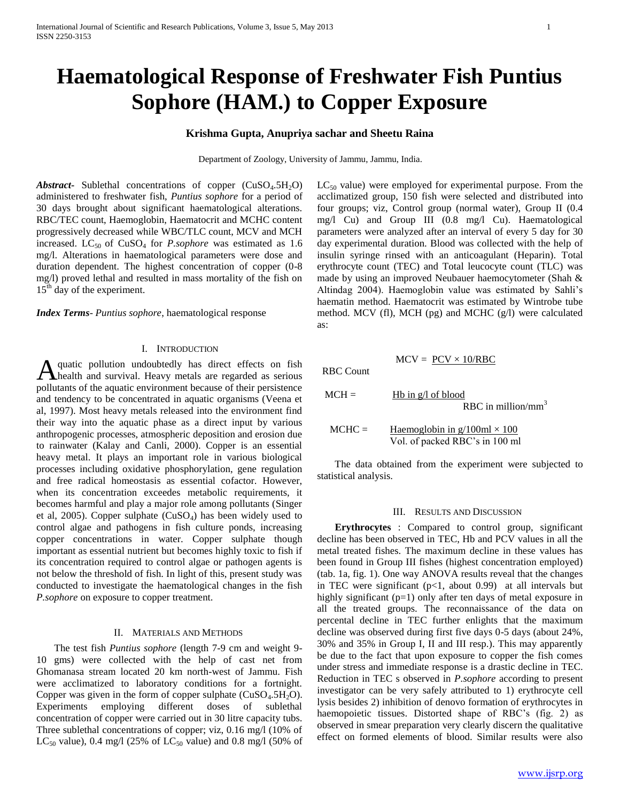# **Haematological Response of Freshwater Fish Puntius Sophore (HAM.) to Copper Exposure**

## **Krishma Gupta, Anupriya sachar and Sheetu Raina**

Department of Zoology, University of Jammu, Jammu, India.

*Abstract***-** Sublethal concentrations of copper  $(CuSO<sub>4</sub>.5H<sub>2</sub>O)$ administered to freshwater fish, *Puntius sophore* for a period of 30 days brought about significant haematological alterations. RBC/TEC count, Haemoglobin, Haematocrit and MCHC content progressively decreased while WBC/TLC count, MCV and MCH increased. LC<sub>50</sub> of CuSO<sub>4</sub> for *P.sophore* was estimated as 1.6 mg/l. Alterations in haematological parameters were dose and duration dependent. The highest concentration of copper (0-8 mg/l) proved lethal and resulted in mass mortality of the fish on 15<sup>th</sup> day of the experiment.

*Index Terms*- *Puntius sophore*, haematological response

## I. INTRODUCTION

quatic pollution undoubtedly has direct effects on fish A quatic pollution undoubtedly has direct effects on fish<br>
thealth and survival. Heavy metals are regarded as serious pollutants of the aquatic environment because of their persistence and tendency to be concentrated in aquatic organisms (Veena et al, 1997). Most heavy metals released into the environment find their way into the aquatic phase as a direct input by various anthropogenic processes, atmospheric deposition and erosion due to rainwater (Kalay and Canli, 2000). Copper is an essential heavy metal. It plays an important role in various biological processes including oxidative phosphorylation, gene regulation and free radical homeostasis as essential cofactor. However, when its concentration exceedes metabolic requirements, it becomes harmful and play a major role among pollutants (Singer et al, 2005). Copper sulphate  $(CuSO<sub>4</sub>)$  has been widely used to control algae and pathogens in fish culture ponds, increasing copper concentrations in water. Copper sulphate though important as essential nutrient but becomes highly toxic to fish if its concentration required to control algae or pathogen agents is not below the threshold of fish. In light of this, present study was conducted to investigate the haematological changes in the fish *P.sophore* on exposure to copper treatment.

## II. MATERIALS AND METHODS

 The test fish *Puntius sophore* (length 7-9 cm and weight 9- 10 gms) were collected with the help of cast net from Ghomanasa stream located 20 km north-west of Jammu. Fish were acclimatized to laboratory conditions for a fortnight. Copper was given in the form of copper sulphate  $(CuSO<sub>4</sub>.5H<sub>2</sub>O)$ . Experiments employing different doses of sublethal concentration of copper were carried out in 30 litre capacity tubs. Three sublethal concentrations of copper; viz, 0.16 mg/l (10% of LC<sub>50</sub> value), 0.4 mg/l (25% of LC<sub>50</sub> value) and 0.8 mg/l (50% of

 $LC_{50}$  value) were employed for experimental purpose. From the acclimatized group, 150 fish were selected and distributed into four groups; viz, Control group (normal water), Group II (0.4 mg/l Cu) and Group III (0.8 mg/l Cu). Haematological parameters were analyzed after an interval of every 5 day for 30 day experimental duration. Blood was collected with the help of insulin syringe rinsed with an anticoagulant (Heparin). Total erythrocyte count (TEC) and Total leucocyte count (TLC) was made by using an improved Neubauer haemocytometer (Shah & Altindag 2004). Haemoglobin value was estimated by Sahli's haematin method. Haematocrit was estimated by Wintrobe tube method. MCV (fl), MCH (pg) and MCHC (g/l) were calculated as:

RBC Count

| $MCH =$  | Hb in $g/l$ of blood<br>RBC in million/ $mm3$                            |
|----------|--------------------------------------------------------------------------|
| $MCHC =$ | Haemoglobin in $g/100$ ml $\times 100$<br>Vol. of packed RBC's in 100 ml |

 $MCV = PCV \times 10/RBC$ 

 The data obtained from the experiment were subjected to statistical analysis.

### III. RESULTS AND DISCUSSION

 **Erythrocytes** : Compared to control group, significant decline has been observed in TEC, Hb and PCV values in all the metal treated fishes. The maximum decline in these values has been found in Group III fishes (highest concentration employed) (tab. 1a, fig. 1). One way ANOVA results reveal that the changes in TEC were significant  $(p<1,$  about 0.99) at all intervals but highly significant (p=1) only after ten days of metal exposure in all the treated groups. The reconnaissance of the data on percental decline in TEC further enlights that the maximum decline was observed during first five days 0-5 days (about 24%, 30% and 35% in Group I, II and III resp.). This may apparently be due to the fact that upon exposure to copper the fish comes under stress and immediate response is a drastic decline in TEC. Reduction in TEC s observed in *P.sophore* according to present investigator can be very safely attributed to 1) erythrocyte cell lysis besides 2) inhibition of denovo formation of erythrocytes in haemopoietic tissues. Distorted shape of RBC's (fig. 2) as observed in smear preparation very clearly discern the qualitative effect on formed elements of blood. Similar results were also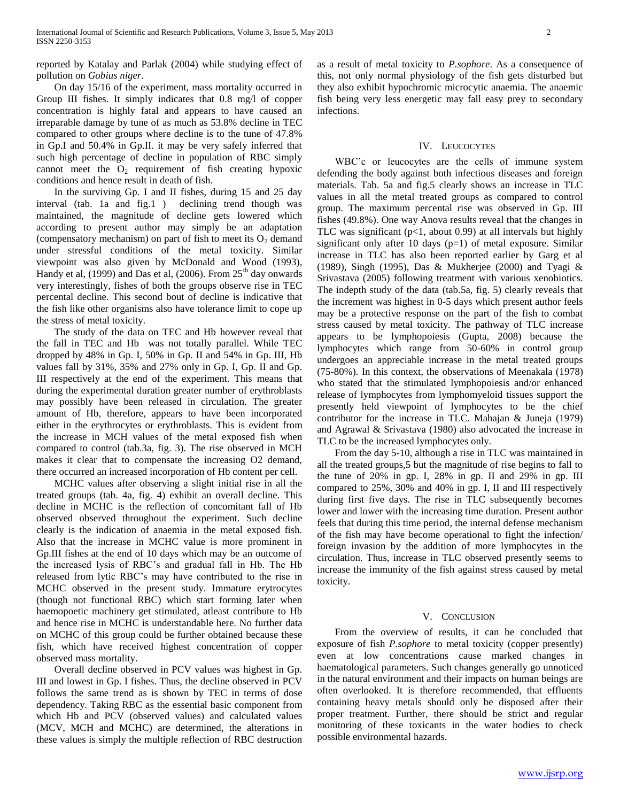reported by Katalay and Parlak (2004) while studying effect of pollution on *Gobius niger*.

 On day 15/16 of the experiment, mass mortality occurred in Group III fishes. It simply indicates that 0.8 mg/l of copper concentration is highly fatal and appears to have caused an irreparable damage by tune of as much as 53.8% decline in TEC compared to other groups where decline is to the tune of 47.8% in Gp.I and 50.4% in Gp.II. it may be very safely inferred that such high percentage of decline in population of RBC simply cannot meet the  $O_2$  requirement of fish creating hypoxic conditions and hence result in death of fish.

 In the surviving Gp. I and II fishes, during 15 and 25 day interval (tab. 1a and fig.1 ) declining trend though was maintained, the magnitude of decline gets lowered which according to present author may simply be an adaptation (compensatory mechanism) on part of fish to meet its  $O_2$  demand under stressful conditions of the metal toxicity. Similar viewpoint was also given by McDonald and Wood (1993), Handy et al, (1999) and Das et al, (2006). From  $25<sup>th</sup>$  day onwards very interestingly, fishes of both the groups observe rise in TEC percental decline. This second bout of decline is indicative that the fish like other organisms also have tolerance limit to cope up the stress of metal toxicity.

 The study of the data on TEC and Hb however reveal that the fall in TEC and Hb was not totally parallel. While TEC dropped by 48% in Gp. I, 50% in Gp. II and 54% in Gp. III, Hb values fall by 31%, 35% and 27% only in Gp. I, Gp. II and Gp. III respectively at the end of the experiment. This means that during the experimental duration greater number of erythroblasts may possibly have been released in circulation. The greater amount of Hb, therefore, appears to have been incorporated either in the erythrocytes or erythroblasts. This is evident from the increase in MCH values of the metal exposed fish when compared to control (tab.3a, fig. 3). The rise observed in MCH makes it clear that to compensate the increasing O2 demand, there occurred an increased incorporation of Hb content per cell.

 MCHC values after observing a slight initial rise in all the treated groups (tab. 4a, fig. 4) exhibit an overall decline. This decline in MCHC is the reflection of concomitant fall of Hb observed observed throughout the experiment. Such decline clearly is the indication of anaemia in the metal exposed fish. Also that the increase in MCHC value is more prominent in Gp.III fishes at the end of 10 days which may be an outcome of the increased lysis of RBC's and gradual fall in Hb. The Hb released from lytic RBC's may have contributed to the rise in MCHC observed in the present study. Immature erytrocytes (though not functional RBC) which start forming later when haemopoetic machinery get stimulated, atleast contribute to Hb and hence rise in MCHC is understandable here. No further data on MCHC of this group could be further obtained because these fish, which have received highest concentration of copper observed mass mortality.

 Overall decline observed in PCV values was highest in Gp. III and lowest in Gp. I fishes. Thus, the decline observed in PCV follows the same trend as is shown by TEC in terms of dose dependency. Taking RBC as the essential basic component from which Hb and PCV (observed values) and calculated values (MCV, MCH and MCHC) are determined, the alterations in these values is simply the multiple reflection of RBC destruction

as a result of metal toxicity to *P.sophore*. As a consequence of this, not only normal physiology of the fish gets disturbed but they also exhibit hypochromic microcytic anaemia. The anaemic fish being very less energetic may fall easy prey to secondary infections.

## IV. LEUCOCYTES

 WBC'c or leucocytes are the cells of immune system defending the body against both infectious diseases and foreign materials. Tab. 5a and fig.5 clearly shows an increase in TLC values in all the metal treated groups as compared to control group. The maximum percental rise was observed in Gp. III fishes (49.8%). One way Anova results reveal that the changes in TLC was significant  $(p<1,$  about 0.99) at all intervals but highly significant only after 10 days  $(p=1)$  of metal exposure. Similar increase in TLC has also been reported earlier by Garg et al (1989), Singh (1995), Das & Mukherjee (2000) and Tyagi & Srivastava (2005) following treatment with various xenobiotics. The indepth study of the data (tab.5a, fig. 5) clearly reveals that the increment was highest in 0-5 days which present author feels may be a protective response on the part of the fish to combat stress caused by metal toxicity. The pathway of TLC increase appears to be lymphopoiesis (Gupta, 2008) because the lymphocytes which range from 50-60% in control group undergoes an appreciable increase in the metal treated groups (75-80%). In this context, the observations of Meenakala (1978) who stated that the stimulated lymphopoiesis and/or enhanced release of lymphocytes from lymphomyeloid tissues support the presently held viewpoint of lymphocytes to be the chief contributor for the increase in TLC. Mahajan & Juneja (1979) and Agrawal & Srivastava (1980) also advocated the increase in TLC to be the increased lymphocytes only.

 From the day 5-10, although a rise in TLC was maintained in all the treated groups,5 but the magnitude of rise begins to fall to the tune of 20% in gp. I, 28% in gp. II and 29% in gp. III compared to 25%, 30% and 40% in gp. I, II and III respectively during first five days. The rise in TLC subsequently becomes lower and lower with the increasing time duration. Present author feels that during this time period, the internal defense mechanism of the fish may have become operational to fight the infection/ foreign invasion by the addition of more lymphocytes in the circulation. Thus, increase in TLC observed presently seems to increase the immunity of the fish against stress caused by metal toxicity.

## V. CONCLUSION

 From the overview of results, it can be concluded that exposure of fish *P.sophore* to metal toxicity (copper presently) even at low concentrations cause marked changes in haematological parameters. Such changes generally go unnoticed in the natural environment and their impacts on human beings are often overlooked. It is therefore recommended, that effluents containing heavy metals should only be disposed after their proper treatment. Further, there should be strict and regular monitoring of these toxicants in the water bodies to check possible environmental hazards.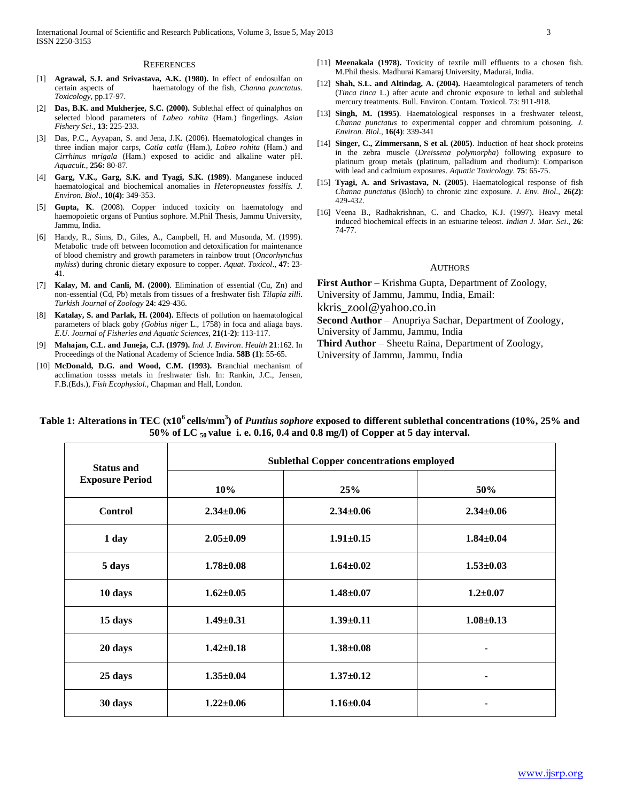#### **REFERENCES**

- [1] **Agrawal, S.J. and Srivastava, A.K. (1980).** In effect of endosulfan on certain aspects of haematology of the fish, *Channa punctatus*. *Toxicology,* pp.17-97.
- [2] **Das, B.K. and Mukherjee, S.C. (2000).** Sublethal effect of quinalphos on selected blood parameters of *Labeo rohita* (Ham.) fingerlings. *Asian Fishery Sci*., **13**: 225-233.
- [3] Das, P.C., Ayyapan, S. and Jena, J.K. (2006). Haematological changes in three indian major carps, *Catla catla* (Ham.), *Labeo rohita* (Ham.) and *Cirrhinus mrigala* (Ham.) exposed to acidic and alkaline water pH. *Aquacult.*, **256:** 80-87.
- [4] **Garg, V.K., Garg, S.K. and Tyagi, S.K. (1989)**. Manganese induced haematological and biochemical anomalies in *Heteropneustes fossilis. J. Environ. Biol*., **10(4)**: 349-353.
- [5] **Gupta, K**. (2008). Copper induced toxicity on haematology and haemopoietic organs of Puntius sophore. M.Phil Thesis, Jammu University, Jammu, India.
- [6] Handy, R., Sims, D., Giles, A., Campbell, H. and Musonda, M. (1999). Metabolic trade off between locomotion and detoxification for maintenance of blood chemistry and growth parameters in rainbow trout (*Oncorhynchus mykiss*) during chronic dietary exposure to copper. *Aquat. Toxicol*., **47**: 23- 41.
- [7] **Kalay, M. and Canli, M. (2000)**. Elimination of essential (Cu, Zn) and non-essential (Cd, Pb) metals from tissues of a freshwater fish *Tilapia zilli*. *Turkish Journal of Zoology* **24**: 429-436.
- [8] **Katalay, S. and Parlak, H. (2004).** Effects of pollution on haematological parameters of black goby *(Gobius niger* L., 1758) in foca and aliaga bays. *E.U. Journal of Fisheries and Aquatic Sciences*, **21(1-2)**: 113-117.
- [9] **Mahajan, C.L. and Juneja, C.J. (1979).** *Ind. J. Environ*. *Health* **21**:162. In Proceedings of the National Academy of Science India. **58B (1)**: 55-65.
- [10] McDonald, D.G. and Wood, C.M. (1993). Branchial mechanism of acclimation tossss metals in freshwater fish. In: Rankin, J.C., Jensen, F.B.(Eds.), *Fish Ecophysiol*., Chapman and Hall, London.
- [11] **Meenakala (1978).** Toxicity of textile mill effluents to a chosen fish. M.Phil thesis. Madhurai Kamaraj University, Madurai, India.
- [12] **Shah, S.L. and Altindag, A. (2004).** Haeamtological parameters of tench (*Tinca tinca* L.) after acute and chronic exposure to lethal and sublethal mercury treatments. Bull. Environ. Contam. Toxicol. 73: 911-918.
- [13] **Singh, M. (1995)**. Haematological responses in a freshwater teleost, *Channa punctatus* to experimental copper and chromium poisoning. *J. Environ. Biol*., **16(4)**: 339-341
- [14] **Singer, C., Zimmersann, S et al. (2005)**. Induction of heat shock proteins in the zebra muscle (*Dreissena polymorpha*) following exposure to platinum group metals (platinum, palladium and rhodium): Comparison with lead and cadmium exposures. *Aquatic Toxicology*. **75**: 65-75.
- [15] **Tyagi, A. and Srivastava, N. (2005**). Haematological response of fish *Channa punctatus* (Bloch) to chronic zinc exposure. *J. Env. Biol*., **26(2)**: 429-432.
- [16] Veena B., Radhakrishnan, C. and Chacko, K.J. (1997). Heavy metal induced biochemical effects in an estuarine teleost. *Indian J. Mar. Sci*., **26**: 74-77.

## AUTHORS

**First Author** – Krishma Gupta, Department of Zoology, University of Jammu, Jammu, India, Email: kkris\_zool@yahoo.co.in

**Second Author** – Anupriya Sachar, Department of Zoology, University of Jammu, Jammu, India

**Third Author** – Sheetu Raina, Department of Zoology, University of Jammu, Jammu, India

| <b>Status and</b>      | <b>Sublethal Copper concentrations employed</b> |                 |                 |  |
|------------------------|-------------------------------------------------|-----------------|-----------------|--|
| <b>Exposure Period</b> | 10%                                             | 25%             | 50%             |  |
| Control                | $2.34 \pm 0.06$                                 | $2.34 \pm 0.06$ | $2.34 \pm 0.06$ |  |
| 1 day                  | $2.05 \pm 0.09$                                 | $1.91 \pm 0.15$ | $1.84 \pm 0.04$ |  |
| 5 days                 | $1.78 \pm 0.08$                                 | $1.64 \pm 0.02$ | $1.53 \pm 0.03$ |  |
| 10 days                | $1.62 \pm 0.05$                                 | $1.48 + 0.07$   | $1.2 \pm 0.07$  |  |
| 15 days                | $1.49 \pm 0.31$                                 | $1.39 \pm 0.11$ | $1.08 \pm 0.13$ |  |
| 20 days                | $1.42 \pm 0.18$                                 | $1.38 \pm 0.08$ | ٠               |  |
| 25 days                | $1.35 \pm 0.04$                                 | $1.37 \pm 0.12$ | ۰               |  |
| 30 days                | $1.22 \pm 0.06$                                 | $1.16 \pm 0.04$ | ۰               |  |

**Table 1: Alterations in TEC (x10<sup>6</sup>cells/mm<sup>3</sup> ) of** *Puntius sophore* **exposed to different sublethal concentrations (10%, 25% and 50% of LC <sup>50</sup> value i. e. 0.16, 0.4 and 0.8 mg/l) of Copper at 5 day interval.**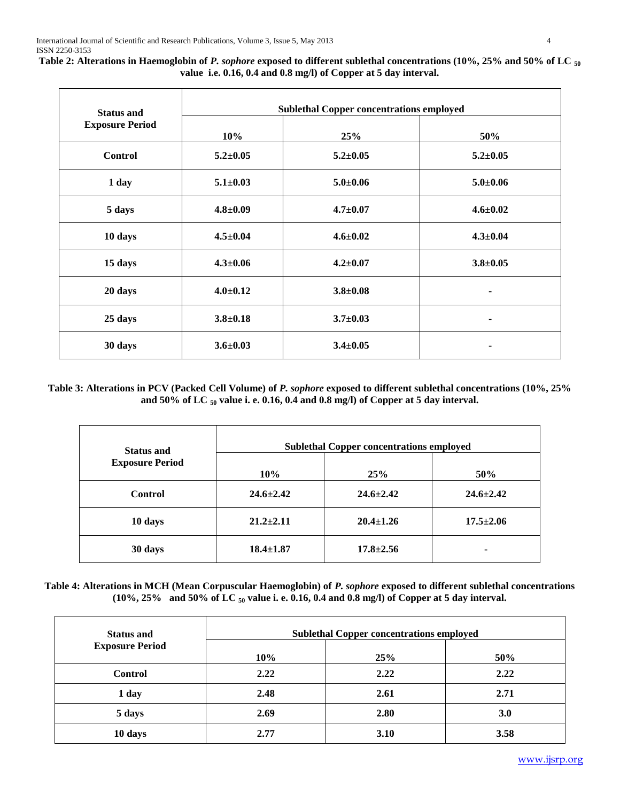**Table 2: Alterations in Haemoglobin of** *P. sophore* **exposed to different sublethal concentrations (10%, 25% and 50% of LC <sup>50</sup> value i.e. 0.16, 0.4 and 0.8 mg/l) of Copper at 5 day interval.**

| <b>Status and</b>      | <b>Sublethal Copper concentrations employed</b> |                |                |  |
|------------------------|-------------------------------------------------|----------------|----------------|--|
| <b>Exposure Period</b> | 10%                                             | 25%            | 50%            |  |
| <b>Control</b>         | $5.2 \pm 0.05$                                  | $5.2 \pm 0.05$ | $5.2 \pm 0.05$ |  |
| 1 day                  | $5.1 \pm 0.03$                                  | $5.0 \pm 0.06$ | $5.0 + 0.06$   |  |
| 5 days                 | $4.8 \pm 0.09$                                  | $4.7 \pm 0.07$ | $4.6 \pm 0.02$ |  |
| 10 days                | $4.5 \pm 0.04$                                  | $4.6 \pm 0.02$ | $4.3 \pm 0.04$ |  |
| 15 days                | $4.3 \pm 0.06$                                  | $4.2 \pm 0.07$ | $3.8 \pm 0.05$ |  |
| 20 days                | $4.0 \pm 0.12$                                  | $3.8 \pm 0.08$ | ٠              |  |
| 25 days                | $3.8 + 0.18$                                    | $3.7 \pm 0.03$ | ٠              |  |
| 30 days                | $3.6 \pm 0.03$                                  | $3.4 \pm 0.05$ |                |  |

# **Table 3: Alterations in PCV (Packed Cell Volume) of** *P. sophore* **exposed to different sublethal concentrations (10%, 25% and 50% of LC <sup>50</sup> value i. e. 0.16, 0.4 and 0.8 mg/l) of Copper at 5 day interval.**

| <b>Status and</b>      | <b>Sublethal Copper concentrations employed</b> |                 |                 |
|------------------------|-------------------------------------------------|-----------------|-----------------|
| <b>Exposure Period</b> | 10%                                             | 25%             | 50%             |
| <b>Control</b>         | $24.6 \pm 2.42$                                 | $24.6 \pm 2.42$ | $24.6 \pm 2.42$ |
| 10 days                | $21.2 \pm 2.11$                                 | $20.4 \pm 1.26$ | $17.5 \pm 2.06$ |
| 30 days                | $18.4 \pm 1.87$                                 | $17.8 \pm 2.56$ | -               |

# **Table 4: Alterations in MCH (Mean Corpuscular Haemoglobin) of** *P. sophore* **exposed to different sublethal concentrations (10%, 25% and 50% of LC <sup>50</sup> value i. e. 0.16, 0.4 and 0.8 mg/l) of Copper at 5 day interval.**

| <b>Status and</b>      | <b>Sublethal Copper concentrations employed</b> |      |            |
|------------------------|-------------------------------------------------|------|------------|
| <b>Exposure Period</b> | 10%                                             | 25%  | 50%        |
| <b>Control</b>         | 2.22                                            | 2.22 | 2.22       |
| 1 day                  | 2.48                                            | 2.61 | 2.71       |
| 5 days                 | 2.69                                            | 2.80 | <b>3.0</b> |
| 10 days                | 2.77                                            | 3.10 | 3.58       |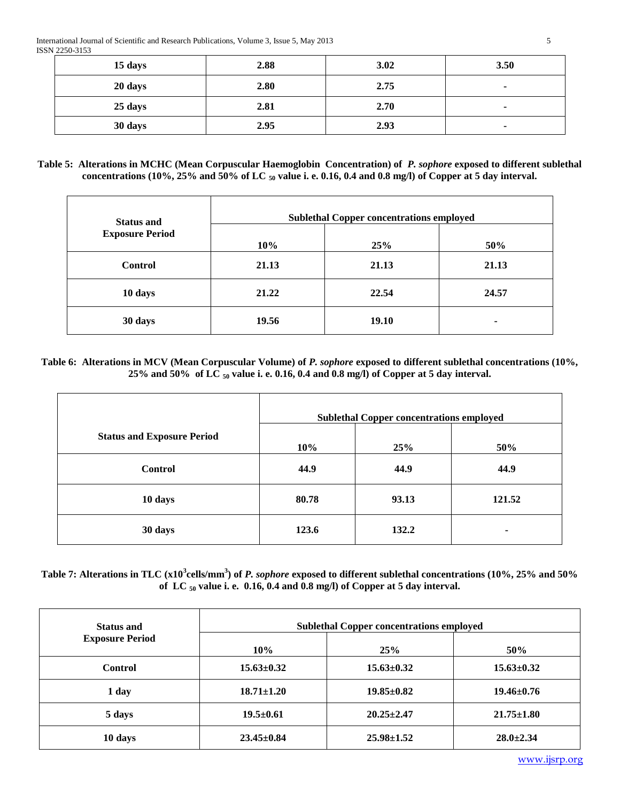| 15 days | 2.88 | 3.02 | 3.50                     |
|---------|------|------|--------------------------|
| 20 days | 2.80 | 2.75 | $\overline{\phantom{a}}$ |
| 25 days | 2.81 | 2.70 | $\overline{\phantom{a}}$ |
| 30 days | 2.95 | 2.93 | ٠                        |

# **Table 5: Alterations in MCHC (Mean Corpuscular Haemoglobin Concentration) of** *P. sophore* **exposed to different sublethal concentrations (10%, 25% and 50% of LC <sup>50</sup> value i. e. 0.16, 0.4 and 0.8 mg/l) of Copper at 5 day interval.**

| <b>Status and</b>      | <b>Sublethal Copper concentrations employed</b> |              |       |
|------------------------|-------------------------------------------------|--------------|-------|
| <b>Exposure Period</b> | 10%                                             | 25%          | 50%   |
| <b>Control</b>         | 21.13                                           | 21.13        | 21.13 |
| 10 days                | 21.22                                           | 22.54        | 24.57 |
| 30 days                | 19.56                                           | <b>19.10</b> | ۰     |

# **Table 6: Alterations in MCV (Mean Corpuscular Volume) of** *P. sophore* **exposed to different sublethal concentrations (10%, 25% and 50% of LC <sup>50</sup> value i. e. 0.16, 0.4 and 0.8 mg/l) of Copper at 5 day interval.**

|                                   | <b>Sublethal Copper concentrations employed</b> |       |        |
|-----------------------------------|-------------------------------------------------|-------|--------|
| <b>Status and Exposure Period</b> | 10%                                             | 25%   | 50%    |
| <b>Control</b>                    | 44.9                                            | 44.9  | 44.9   |
| 10 days                           | 80.78                                           | 93.13 | 121.52 |
| 30 days                           | 123.6                                           | 132.2 | ٠      |

# **Table 7: Alterations in TLC (x10<sup>3</sup> cells/mm<sup>3</sup> ) of** *P. sophore* **exposed to different sublethal concentrations (10%, 25% and 50% of LC <sup>50</sup> value i. e. 0.16, 0.4 and 0.8 mg/l) of Copper at 5 day interval.**

| <b>Status and</b>      | <b>Sublethal Copper concentrations employed</b> |                  |                  |
|------------------------|-------------------------------------------------|------------------|------------------|
| <b>Exposure Period</b> | 10%                                             | 25%              | 50%              |
| <b>Control</b>         | $15.63 \pm 0.32$                                | $15.63 \pm 0.32$ | $15.63 \pm 0.32$ |
| 1 day                  | $18.71 \pm 1.20$                                | $19.85 \pm 0.82$ | $19.46 \pm 0.76$ |
| 5 days                 | $19.5 \pm 0.61$                                 | $20.25 \pm 2.47$ | $21.75 \pm 1.80$ |
| 10 days                | $23.45 \pm 0.84$                                | $25.98 \pm 1.52$ | $28.0 \pm 2.34$  |